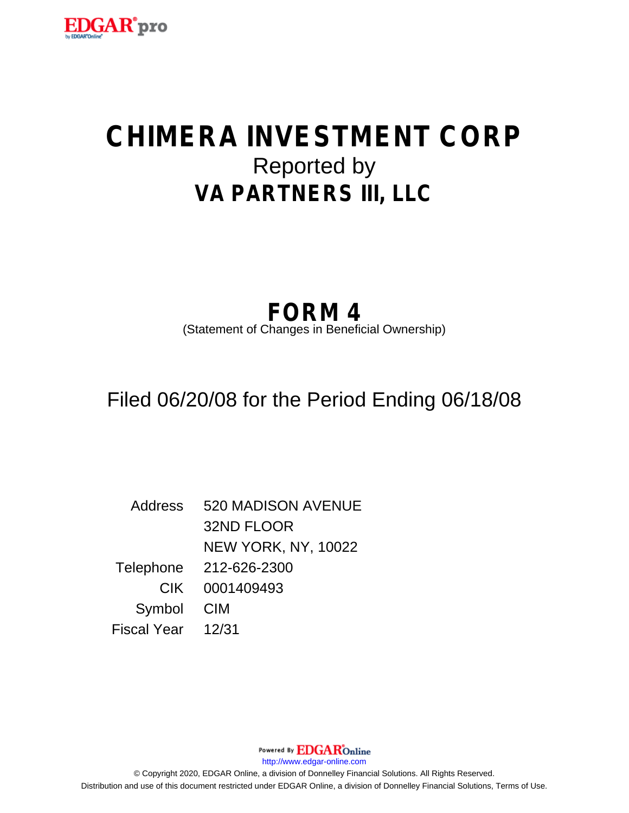

# **CHIMERA INVESTMENT CORP** Reported by **VA PARTNERS III, LLC**

## **FORM 4**

(Statement of Changes in Beneficial Ownership)

Filed 06/20/08 for the Period Ending 06/18/08

Address 520 MADISON AVENUE 32ND FLOOR NEW YORK, NY, 10022 Telephone 212-626-2300 CIK 0001409493 Symbol CIM Fiscal Year 12/31

http://www.edgar-online.com © Copyright 2020, EDGAR Online, a division of Donnelley Financial Solutions. All Rights Reserved. Distribution and use of this document restricted under EDGAR Online, a division of Donnelley Financial Solutions, Terms of Use.

Powered By **EDGAR**Online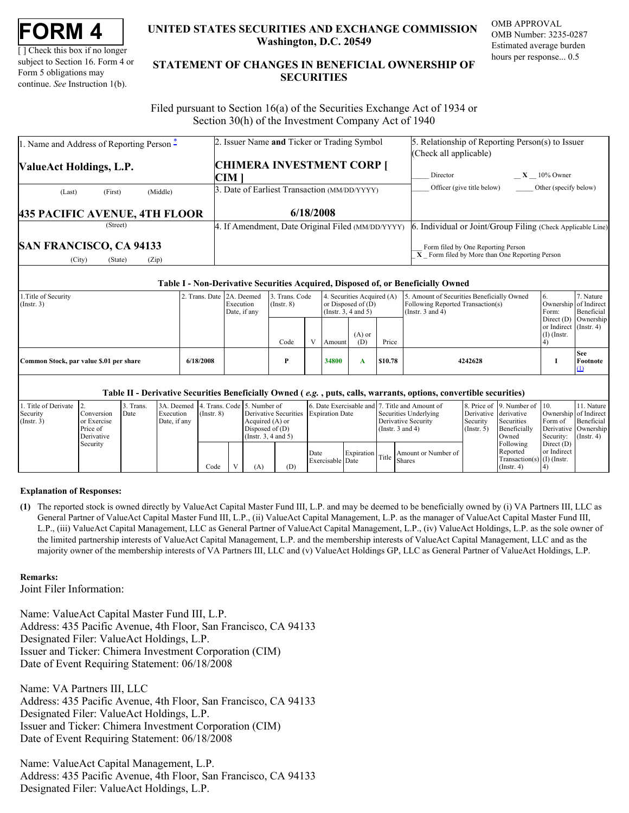| FORM |  |
|------|--|
|------|--|

[ ] Check this box if no longer subject to Section 16. Form 4 or Form 5 obligations may continue. *See* Instruction 1(b).

### **UNITED STATES SECURITIES AND EXCHANGE COMMISSION OMB APPROVAL Washington, D.C. 20549**

OMB Number: 3235-0287 Estimated average burden hours per response... 0.5

### UNITED STATES SECURITIES AND EXCHANGE COMMISSION OWD AT ROVAL<br>
[] Check this box if no longer<br>
subject to Section 16. Form 4 or<br>
Form 5 obligations may<br>
continue. *See* Instruction 1(b).<br>
SECURITIES<br>
SECURITIES **STATEMENT OF CHANGES IN BENEFICIAL OWNERSHIP OF SECURITIES** TATES SECURITIES AND EXCHANGE COMMISSION<br>Washington, D.C. 20549<br>Estimated average burden<br>ENT OF CHANGES IN BENEFICIAL OWNERSHIP OF<br>SECURITIES

 Filed pursuant to Section 16(a) of the Securities Exchange Act of 1934 or Section 30(h) of the Investment Company Act of 1940

| 1. Name and Address of Reporting Person - | 2. Issuer Name and Ticker or Trading Symbol       | 5. Relationship of Reporting Person(s) to Issuer                  |
|-------------------------------------------|---------------------------------------------------|-------------------------------------------------------------------|
|                                           |                                                   | (Check all applicable)                                            |
| <b>ValueAct Holdings, L.P.</b>            | <b>CHIMERA INVESTMENT CORP [</b>                  |                                                                   |
|                                           | CIM                                               | $X = 10\%$ Owner<br>Director                                      |
| (Middle)<br>(First)<br>(Last)             | 3. Date of Earliest Transaction (MM/DD/YYYY)      | Officer (give title below)<br>Other (specify below)               |
|                                           |                                                   |                                                                   |
| <b>435 PACIFIC AVENUE, 4TH FLOOR</b>      | 6/18/2008                                         |                                                                   |
| (Street)                                  | 4. If Amendment, Date Original Filed (MM/DD/YYYY) | . Individual or Joint/Group Filing (Check Applicable Line)<br>16. |

#### **Table I - Non-Derivative Securities Acquired, Disposed of, or Beneficially Owned**

| Direct $(D)$ Ownership<br>or Indirect (Instr. 4)<br>$(A)$ or<br>$(I)$ (Instr.<br>Code<br>(D)<br>$\cdot$ $\cdot$<br>Price<br>Amount<br><b>See</b><br>6/18/2008<br>34800<br>\$10.78<br>4242628<br>Common Stock, par value \$.01 per share<br>A | 1. Title of Security<br>$($ Instr. 3 $)$ | 2. Trans. Date 2A. Deemed<br>Execution<br>Date, if any | 3. Trans. Code<br>$($ Instr. $8)$ | (Instr. 3, 4 and 5) | 4. Securities Acquired (A)<br>or Disposed of $(D)$ | 5. Amount of Securities Beneficially Owned<br>Following Reported Transaction(s)<br>(Instr. $3$ and $4$ ) | 16.<br>Ownership of Indirect<br>Form: | 7 Nature<br>Beneficial |
|----------------------------------------------------------------------------------------------------------------------------------------------------------------------------------------------------------------------------------------------|------------------------------------------|--------------------------------------------------------|-----------------------------------|---------------------|----------------------------------------------------|----------------------------------------------------------------------------------------------------------|---------------------------------------|------------------------|
| Footnote                                                                                                                                                                                                                                     |                                          |                                                        |                                   |                     |                                                    |                                                                                                          |                                       |                        |
|                                                                                                                                                                                                                                              |                                          |                                                        |                                   |                     |                                                    |                                                                                                          |                                       |                        |

#### **Table II - Derivative Securities Beneficially Owned (** *e.g.* **, puts, calls, warrants, options, convertible securities)**

| 1. Title of Derivate 2. |             | Trans | 3A. Deemed 4. Trans. Code 5. Number of |                 |                      |     |                                       |  | 6. Date Exercisable and 7. Title and Amount of |                       | 8. Price of 19. Number of 10. |                               | 11. Nature            |
|-------------------------|-------------|-------|----------------------------------------|-----------------|----------------------|-----|---------------------------------------|--|------------------------------------------------|-----------------------|-------------------------------|-------------------------------|-----------------------|
| Security                | Conversion  | Date  | Execution                              | $($ Instr. $8)$ |                      |     | Derivative Securities Expiration Date |  | Securities Underlying                          | Derivative derivative |                               |                               | Ownership of Indirect |
| (Insert. 3)             | or Exercise |       | Date, if any                           |                 | Acquired (A) or      |     |                                       |  | Derivative Security                            | Security              | Securities                    | Form of                       | Beneficial            |
|                         | Price of    |       |                                        |                 | Disposed of $(D)$    |     |                                       |  | (Instr. $3$ and $4$ )                          | (Insert. 5)           | Beneficially                  |                               | Derivative Ownership  |
|                         | Derivative  |       |                                        |                 | (Insert. 3, 4 and 5) |     |                                       |  |                                                |                       | Owned                         | Security: $(\text{Instr. 4})$ |                       |
|                         | Security    |       |                                        |                 |                      |     |                                       |  |                                                |                       | Following                     | Direct $(D)$                  |                       |
|                         |             |       |                                        |                 |                      |     | Date                                  |  | Amount or Number of                            |                       | Reported                      | or Indirect                   |                       |
|                         |             |       |                                        |                 |                      |     | Exercisable Date                      |  | Expiration Title Shares                        |                       | Transaction(s) $(I)$ (Instr.  |                               |                       |
|                         |             |       |                                        | Code            |                      | (D) |                                       |  |                                                |                       | (Insert 4)                    |                               |                       |

#### **Explanation of Responses:**

<span id="page-1-0"></span>**(1)** The reported stock is owned directly by ValueAct Capital Master Fund III, L.P. and may be deemed to be beneficially owned by (i) VA Partners III, LLC as General Partner of ValueAct Capital Master Fund III, L.P., (ii) ValueAct Capital Management, L.P. as the manager of ValueAct Capital Master Fund III, L.P., (iii) ValueAct Capital Management, LLC as General Partner of ValueAct Capital Management, L.P., (iv) ValueAct Holdings, L.P. as the sole owner of the limited partnership interests of ValueAct Capital Management, L.P. and the membership interests of ValueAct Capital Management, LLC and as the majority owner of the membership interests of VA Partners III, LLC and (v) ValueAct Holdings GP, LLC as General Partner of ValueAct Holdings, L.P.

#### **Remarks:**

Joint Filer Information:

Name: ValueAct Capital Master Fund III, L.P. Address: 435 Pacific Avenue, 4th Floor, San Francisco, CA 94133 Designated Filer: ValueAct Holdings, L.P. Issuer and Ticker: Chimera Investment Corporation (CIM) Date of Event Requiring Statement: 06/18/2008

Name: VA Partners III, LLC Address: 435 Pacific Avenue, 4th Floor, San Francisco, CA 94133 Designated Filer: ValueAct Holdings, L.P. Issuer and Ticker: Chimera Investment Corporation (CIM) Date of Event Requiring Statement: 06/18/2008

Name: ValueAct Capital Management, L.P. Address: 435 Pacific Avenue, 4th Floor, San Francisco, CA 94133 Designated Filer: ValueAct Holdings, L.P.